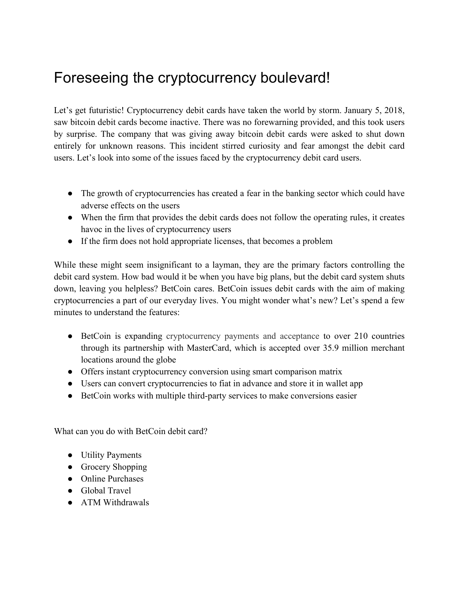## Foreseeing the cryptocurrency boulevard!

Let's get futuristic! Cryptocurrency debit cards have taken the world by storm. January 5, 2018, saw bitcoin debit cards become inactive. There was no forewarning provided, and this took users by surprise. The company that was giving away bitcoin debit cards were asked to shut down entirely for unknown reasons. This incident stirred curiosity and fear amongst the debit card users. Let's look into some of the issues faced by the cryptocurrency debit card users.

- The growth of cryptocurrencies has created a fear in the banking sector which could have adverse effects on the users
- When the firm that provides the debit cards does not follow the operating rules, it creates havoc in the lives of cryptocurrency users
- If the firm does not hold appropriate licenses, that becomes a problem

While these might seem insignificant to a layman, they are the primary factors controlling the debit card system. How bad would it be when you have big plans, but the debit card system shuts down, leaving you helpless? BetCoin cares. BetCoin issues debit cards with the aim of making cryptocurrencies a part of our everyday lives. You might wonder what's new? Let's spend a few minutes to understand the features:

- BetCoin is expanding cryptocurrency payments and acceptance to over 210 countries through its partnership with MasterCard, which is accepted over 35.9 million merchant locations around the globe
- Offers instant cryptocurrency conversion using smart comparison matrix
- Users can convert cryptocurrencies to fiat in advance and store it in wallet app
- BetCoin works with multiple third-party services to make conversions easier

What can you do with BetCoin debit card?

- Utility Payments
- Grocery Shopping
- Online Purchases
- Global Travel
- ATM Withdrawals